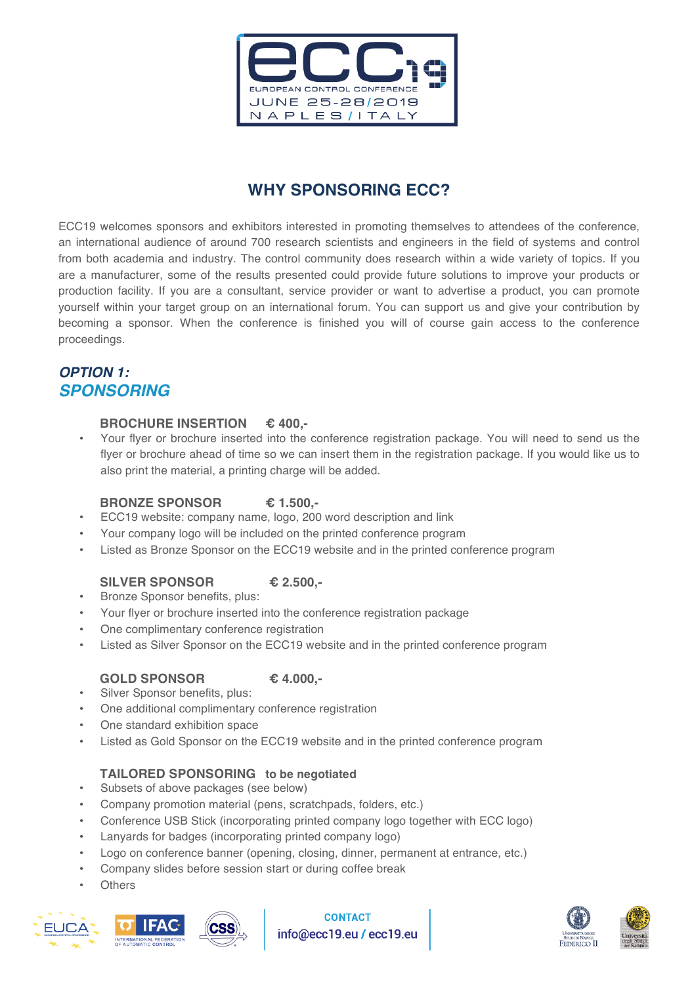

# **WHY SPONSORING ECC?**

ECC19 welcomes sponsors and exhibitors interested in promoting themselves to attendees of the conference, an international audience of around 700 research scientists and engineers in the field of systems and control from both academia and industry. The control community does research within a wide variety of topics. If you are a manufacturer, some of the results presented could provide future solutions to improve your products or production facility. If you are a consultant, service provider or want to advertise a product, you can promote yourself within your target group on an international forum. You can support us and give your contribution by becoming a sponsor. When the conference is finished you will of course gain access to the conference proceedings.

## *OPTION 1: SPONSORING*

#### **BROCHURE INSERTION € 400,-**

• Your flyer or brochure inserted into the conference registration package. You will need to send us the flyer or brochure ahead of time so we can insert them in the registration package. If you would like us to also print the material, a printing charge will be added.

#### **BRONZE SPONSOR € 1.500,-**

- ECC19 website: company name, logo, 200 word description and link
- Your company logo will be included on the printed conference program
- Listed as Bronze Sponsor on the ECC19 website and in the printed conference program

#### **SILVER SPONSOR € 2.500,-**

- Bronze Sponsor benefits, plus:
- Your flyer or brochure inserted into the conference registration package
- One complimentary conference registration
- Listed as Silver Sponsor on the ECC19 website and in the printed conference program

#### **GOLD SPONSOR € 4.000,-**

- Silver Sponsor benefits, plus:
- One additional complimentary conference registration
- One standard exhibition space
- Listed as Gold Sponsor on the ECC19 website and in the printed conference program

#### **TAILORED SPONSORING to be negotiated**

- Subsets of above packages (see below)
- Company promotion material (pens, scratchpads, folders, etc.)
- Conference USB Stick (incorporating printed company logo together with ECC logo)
- Lanyards for badges (incorporating printed company logo)
- Logo on conference banner (opening, closing, dinner, permanent at entrance, etc.)
- Company slides before session start or during coffee break
- **Others**





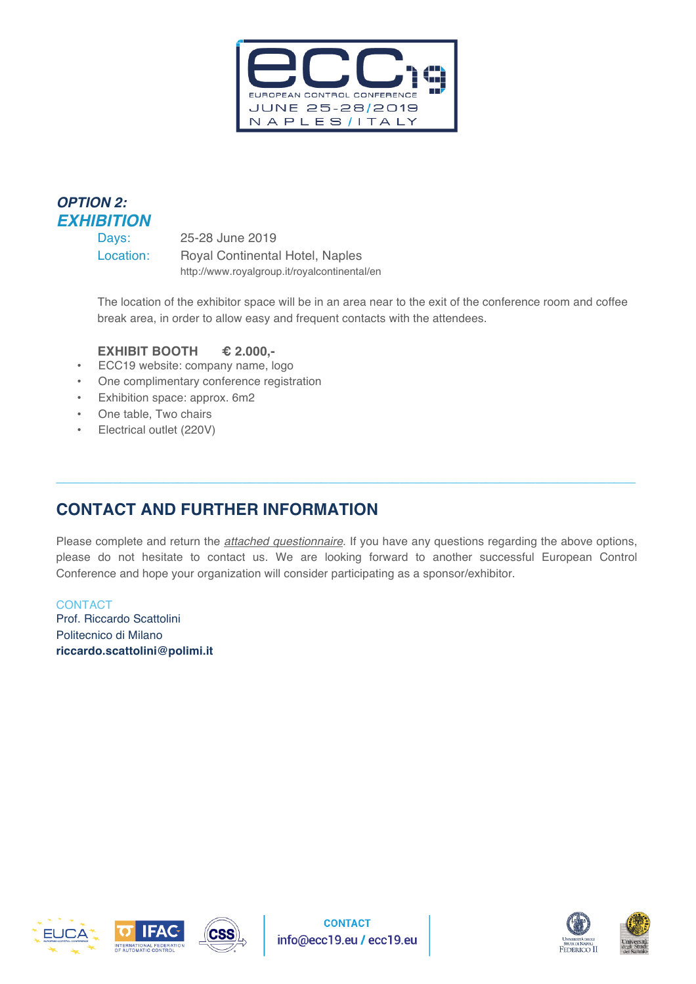

# *OPTION 2: EXHIBITION*

Days: 25-28 June 2019 Location: Royal Continental Hotel, Naples http://www.royalgroup.it/royalcontinental/en

The location of the exhibitor space will be in an area near to the exit of the conference room and coffee break area, in order to allow easy and frequent contacts with the attendees.

### **EXHIBIT BOOTH € 2.000,-**

- ECC19 website: company name, logo
- One complimentary conference registration
- Exhibition space: approx. 6m2
- One table, Two chairs
- Electrical outlet (220V)

## **CONTACT AND FURTHER INFORMATION**

**CSS** 

Please complete and return the *attached questionnaire*. If you have any questions regarding the above options, please do not hesitate to contact us. We are looking forward to another successful European Control Conference and hope your organization will consider participating as a sponsor/exhibitor.

 $\mathcal{L}_\mathcal{L} = \mathcal{L}_\mathcal{L} = \mathcal{L}_\mathcal{L} = \mathcal{L}_\mathcal{L} = \mathcal{L}_\mathcal{L} = \mathcal{L}_\mathcal{L} = \mathcal{L}_\mathcal{L} = \mathcal{L}_\mathcal{L} = \mathcal{L}_\mathcal{L} = \mathcal{L}_\mathcal{L} = \mathcal{L}_\mathcal{L} = \mathcal{L}_\mathcal{L} = \mathcal{L}_\mathcal{L} = \mathcal{L}_\mathcal{L} = \mathcal{L}_\mathcal{L} = \mathcal{L}_\mathcal{L} = \mathcal{L}_\mathcal{L}$ 

**CONTACT** Prof. Riccardo Scattolini Politecnico di Milano **riccardo.scattolini@polimi.it**